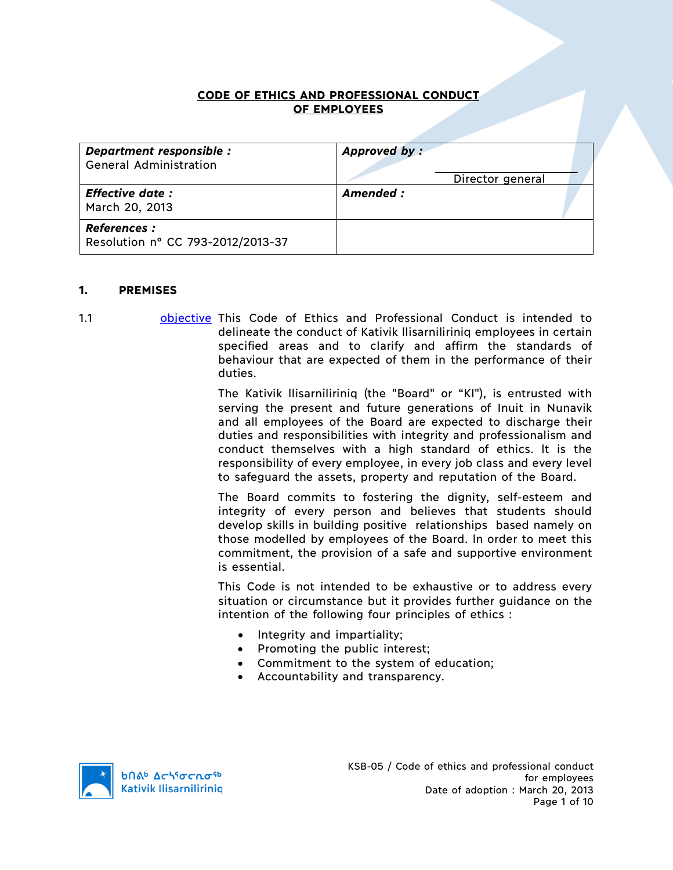# **CODE OF ETHICS AND PROFESSIONAL CONDUCT OF EMPLOYEES**

| Department responsible :<br><b>General Administration</b> | Approved by:<br>Director general |  |
|-----------------------------------------------------------|----------------------------------|--|
| Effective date :<br>March 20, 2013                        | Amended :                        |  |
| References :<br>Resolution nº CC 793-2012/2013-37         |                                  |  |

#### **1. PREMISES**

1.1 objective This Code of Ethics and Professional Conduct is intended to delineate the conduct of Kativik llisarniliriniq employees in certain specified areas and to clarify and affirm the standards of behaviour that are expected of them in the performance of their duties.

> The Kativik llisarniliriniq (the "Board" or "KI"), is entrusted with serving the present and future generations of Inuit in Nunavik and all employees of the Board are expected to discharge their duties and responsibilities with integrity and professionalism and conduct themselves with a high standard of ethics. lt is the responsibility of every employee, in every job class and every level to safeguard the assets, property and reputation of the Board.

> The Board commits to fostering the dignity, self-esteem and integrity of every person and believes that students should develop skills in building positive relationships based namely on those modelled by employees of the Board. ln order to meet this commitment, the provision of a safe and supportive environment is essential.

> This Code is not intended to be exhaustive or to address every situation or circumstance but it provides further guidance on the intention of the following four principles of ethics :

- lntegrity and impartiality;
- Promoting the public interest;
- Commitment to the system of education;
- Accountability and transparency.

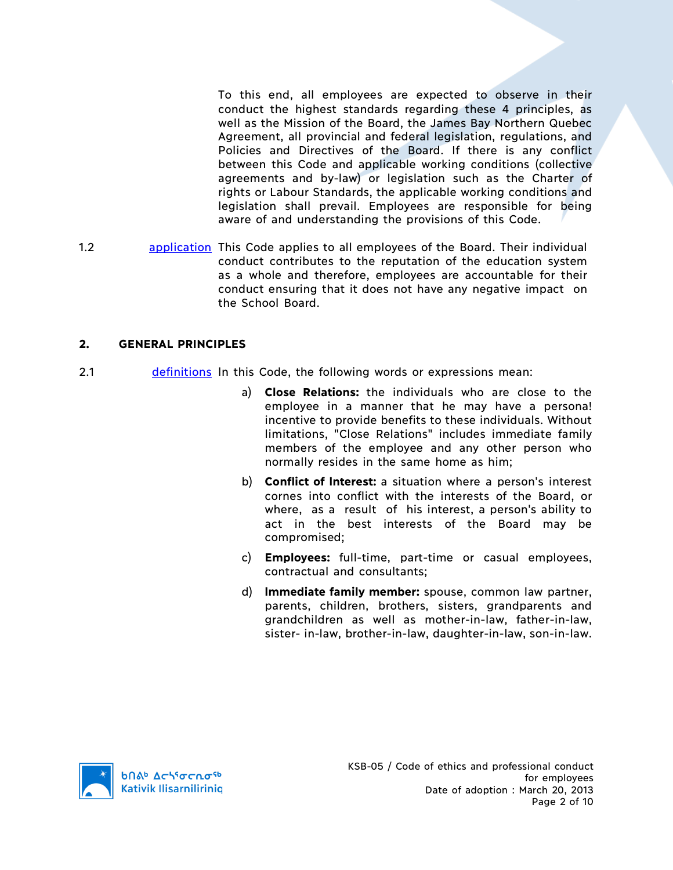To this end, all employees are expected to observe in their conduct the highest standards regarding these 4 principles, as well as the Mission of the Board, the James Bay Northern Quebec Agreement, all provincial and federal legislation, regulations, and Policies and Directives of the Board. If there is any conflict between this Code and applicable working conditions (collective agreements and by-law) or legislation such as the Charter of rights or Labour Standards, the applicable working conditions and legislation shall prevail. Employees are responsible for being aware of and understanding the provisions of this Code.

1.2 **application** This Code applies to all employees of the Board. Their individual conduct contributes to the reputation of the education system as a whole and therefore, employees are accountable for their conduct ensuring that it does not have any negative impact on the School Board.

#### **2. GENERAL PRINCIPLES**

- 2.1 definitions In this Code, the following words or expressions mean:
	- a) **Close Relations:** the individuals who are close to the employee in a manner that he may have a persona! incentive to provide benefits to these individuals. Without limitations, "Close Relations" includes immediate family members of the employee and any other person who normally resides in the same home as him;
	- b) **Conflict of lnterest:** a situation where a person's interest cornes into conflict with the interests of the Board, or where, as a result of his interest, a person's ability to act in the best interests of the Board may be compromised;
	- c) **Employees:** full-time, part-time or casual employees, contractual and consultants;
	- d) **lmmediate family member:** spouse, common law partner, parents, children, brothers, sisters, grandparents and grandchildren as well as mother-in-law, father-in-law, sister- in-law, brother-in-law, daughter-in-law, son-in-law.

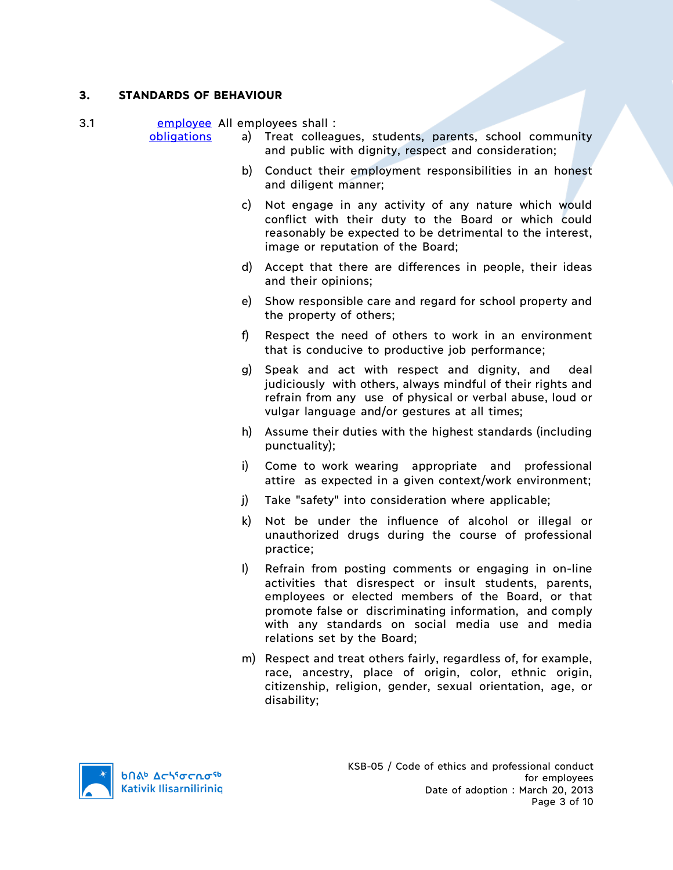#### **3. STANDARDS OF BEHAVIOUR**

obligations

- 3.1 **Employee** All employees shall:
	- a) Treat colleagues, students, parents, school community and public with dignity, respect and consideration;
		- b) Conduct their employment responsibilities in an honest and diligent manner;
		- c) Not engage in any activity of any nature which would conflict with their duty to the Board or which could reasonably be expected to be detrimental to the interest, image or reputation of the Board;
		- d) Accept that there are differences in people, their ideas and their opinions;
		- e) Show responsible care and regard for school property and the property of others;
		- f) Respect the need of others to work in an environment that is conducive to productive job performance;
		- g) Speak and act with respect and dignity, and deal judiciously with others, always mindful of their rights and refrain from any use of physical or verbal abuse, loud or vulgar language and/or gestures at all times;
		- h) Assume their duties with the highest standards (including punctuality);
		- i) Come to work wearing appropriate and professional attire as expected in a given context/work environment;
		- j) Take "safety" into consideration where applicable;
		- k) Not be under the influence of alcohol or illegal or unauthorized drugs during the course of professional practice;
		- l) Refrain from posting comments or engaging in on-line activities that disrespect or insult students, parents, employees or elected members of the Board, or that promote false or discriminating information, and comply with any standards on social media use and media relations set by the Board;
		- m) Respect and treat others fairly, regardless of, for example, race, ancestry, place of origin, color, ethnic origin, citizenship, religion, gender, sexual orientation, age, or disability;

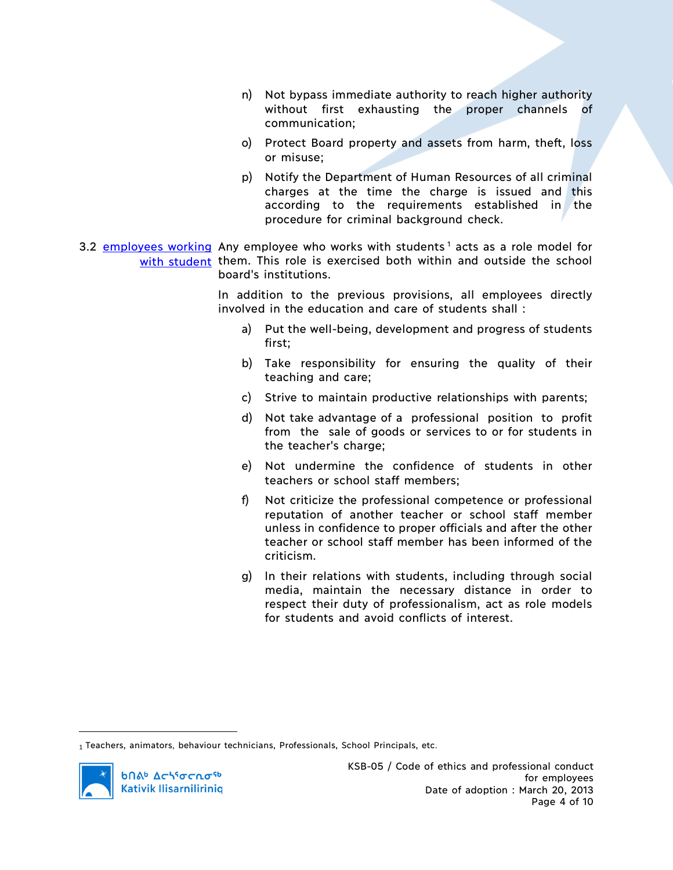- n) Not bypass immediate authority to reach higher authority without first exhausting the proper channels of communication;
- o) Protect Board property and assets from harm, theft, loss or misuse;
- p) Notify the Department of Human Resources of all criminal charges at the time the charge is issued and this according to the requirements established in the procedure for criminal background check.
- 3.2 employees working Any employee who works with students<sup>1</sup> acts as a role model for with student them. This role is exercised both within and outside the school board's institutions.

ln addition to the previous provisions, all employees directly involved in the education and care of students shall :

- a) Put the well-being, development and progress of students first;
- b) Take responsibility for ensuring the quality of their teaching and care;
- c) Strive to maintain productive relationships with parents;
- d) Not take advantage of a professional position to profit from the sale of goods or services to or for students in the teacher's charge;
- e) Not undermine the confidence of students in other teachers or school staff members;
- f) Not criticize the professional competence or professional reputation of another teacher or school staff member unless in confidence to proper officials and after the other teacher or school staff member has been informed of the criticism.
- g) ln their relations with students, including through social media, maintain the necessary distance in order to respect their duty of professionalism, act as role models for students and avoid conflicts of interest.

<sup>1</sup> Teachers, animators, behaviour technicians, Professionals, School Principals, etc.



 $\overline{a}$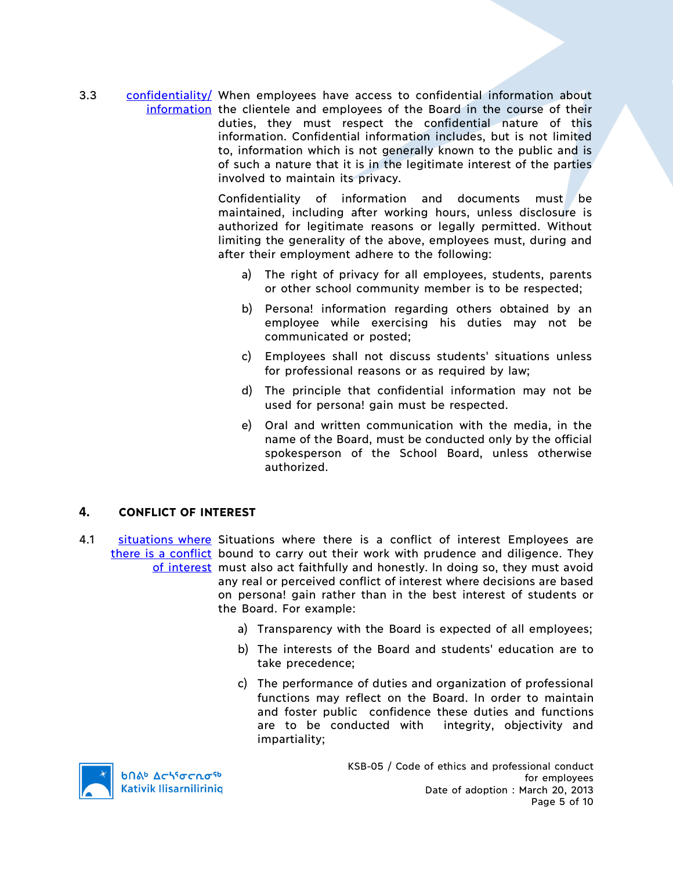3.3 confidentiality/ When employees have access to confidential information about information the clientele and employees of the Board in the course of their duties, they must respect the confidential nature of this information. Confidential information includes, but is not limited to, information which is not generally known to the public and is of such a nature that it is in the legitimate interest of the parties involved to maintain its privacy.

> Confidentiality of information and documents must be maintained, including after working hours, unless disclosure is authorized for legitimate reasons or legally permitted. Without limiting the generality of the above, employees must, during and after their employment adhere to the following:

- a) The right of privacy for all employees, students, parents or other school community member is to be respected;
- b) Persona! information regarding others obtained by an employee while exercising his duties may not be communicated or posted;
- c) Employees shall not discuss students' situations unless for professional reasons or as required by law;
- d) The principle that confidential information may not be used for persona! gain must be respected.
- e) Oral and written communication with the media, in the name of the Board, must be conducted only by the official spokesperson of the School Board, unless otherwise authorized.

# **4. CONFLICT OF INTEREST**

- 4.1 **Situations where** Situations where there is a conflict of interest Employees are there is a conflict bound to carry out their work with prudence and diligence. They of interest must also act faithfully and honestly. In doing so, they must avoid any real or perceived conflict of interest where decisions are based on persona! gain rather than in the best interest of students or the Board. For example:
	- a) Transparency with the Board is expected of all employees;
	- b) The interests of the Board and students' education are to take precedence;
	- c) The performance of duties and organization of professional functions may reflect on the Board. ln order to maintain and foster public confidence these duties and functions are to be conducted with integrity, objectivity and impartiality;



**b**በል<sup>b</sup>  $\Delta$ ch<sup>s</sup>σcnσ<sup>sb</sup> **Kativik Ilisarniliriniq**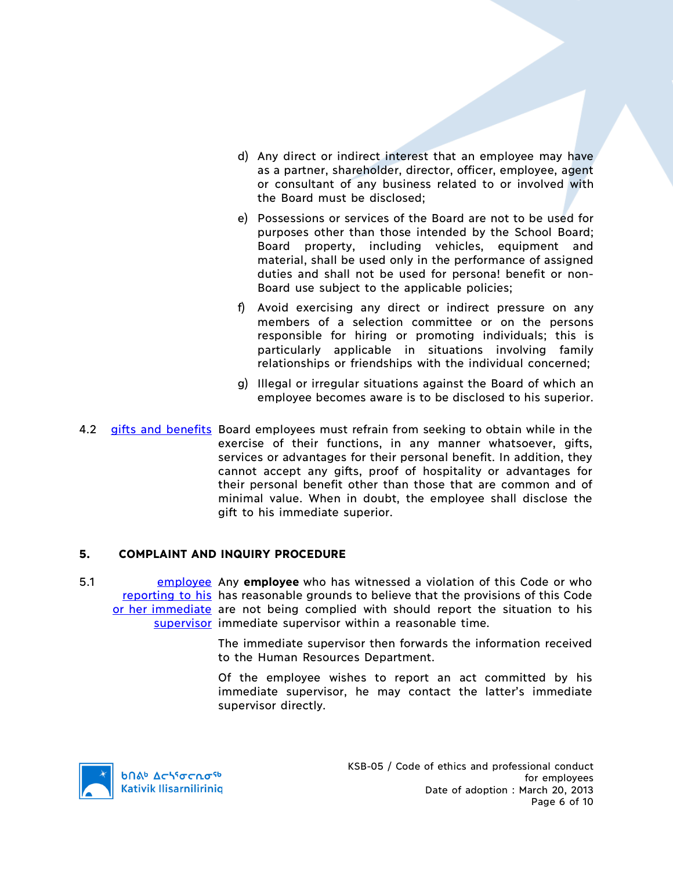- d) Any direct or indirect interest that an employee may have as a partner, shareholder, director, officer, employee, agent or consultant of any business related to or involved with the Board must be disclosed;
- e) Possessions or services of the Board are not to be used for purposes other than those intended by the School Board; Board property, including vehicles, equipment and material, shall be used only in the performance of assigned duties and shall not be used for persona! benefit or non-Board use subject to the applicable policies;
- f) Avoid exercising any direct or indirect pressure on any members of a selection committee or on the persons responsible for hiring or promoting individuals; this is particularly applicable in situations involving family relationships or friendships with the individual concerned;
- g) Illegal or irregular situations against the Board of which an employee becomes aware is to be disclosed to his superior.
- 4.2 gifts and benefits Board employees must refrain from seeking to obtain while in the exercise of their functions, in any manner whatsoever, gifts, services or advantages for their personal benefit. In addition, they cannot accept any gifts, proof of hospitality or advantages for their personal benefit other than those that are common and of minimal value. When in doubt, the employee shall disclose the gift to his immediate superior.

# **5. COMPLAINT AND INQUIRY PROCEDURE**

5.1 employee Any **employee** who has witnessed a violation of this Code or who reporting to his has reasonable grounds to believe that the provisions of this Code or her immediate are not being complied with should report the situation to his supervisor immediate supervisor within a reasonable time.

> The immediate supervisor then forwards the information received to the Human Resources Department.

> Of the employee wishes to report an act committed by his immediate supervisor, he may contact the latter's immediate supervisor directly.

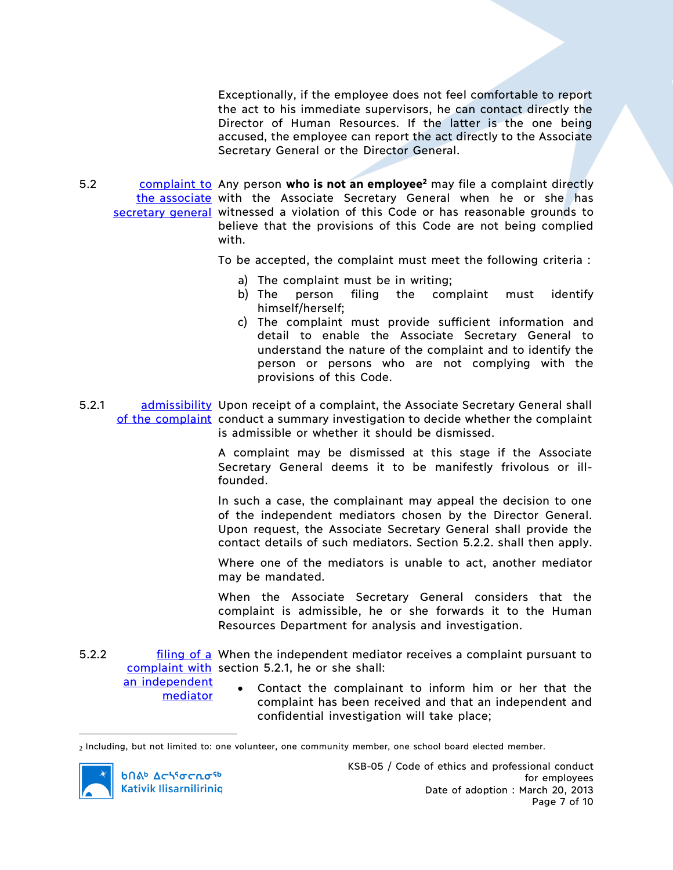Exceptionally, if the employee does not feel comfortable to report the act to his immediate supervisors, he can contact directly the Director of Human Resources. If the latter is the one being accused, the employee can report the act directly to the Associate Secretary General or the Director General.

5.2 **complaint to Any person who is not an employee**<sup>2</sup> may file a complaint directly the associate with the Associate Secretary General when he or she has secretary general witnessed a violation of this Code or has reasonable grounds to believe that the provisions of this Code are not being complied with.

To be accepted, the complaint must meet the following criteria :

- a) The complaint must be in writing;
- b) The person filing the complaint must identify himself/herself;
- c) The complaint must provide sufficient information and detail to enable the Associate Secretary General to understand the nature of the complaint and to identify the person or persons who are not complying with the provisions of this Code.
- 5.2.1 **admissibility Upon receipt of a complaint**, the Associate Secretary General shall of the complaint conduct a summary investigation to decide whether the complaint is admissible or whether it should be dismissed.

A complaint may be dismissed at this stage if the Associate Secretary General deems it to be manifestly frivolous or illfounded.

ln such a case, the complainant may appeal the decision to one of the independent mediators chosen by the Director General. Upon request, the Associate Secretary General shall provide the contact details of such mediators. Section 5.2.2. shall then apply.

Where one of the mediators is unable to act, another mediator may be mandated.

When the Associate Secretary General considers that the complaint is admissible, he or she forwards it to the Human Resources Department for analysis and investigation.

5.2.2 **filling of a** When the independent mediator receives a complaint pursuant to complaint with section 5.2.1, he or she shall:

an independent mediator

Contact the complainant to inform him or her that the complaint has been received and that an independent and confidential investigation will take place;

<sup>2</sup> Including, but not limited to: one volunteer, one community member, one school board elected member.



 $\overline{a}$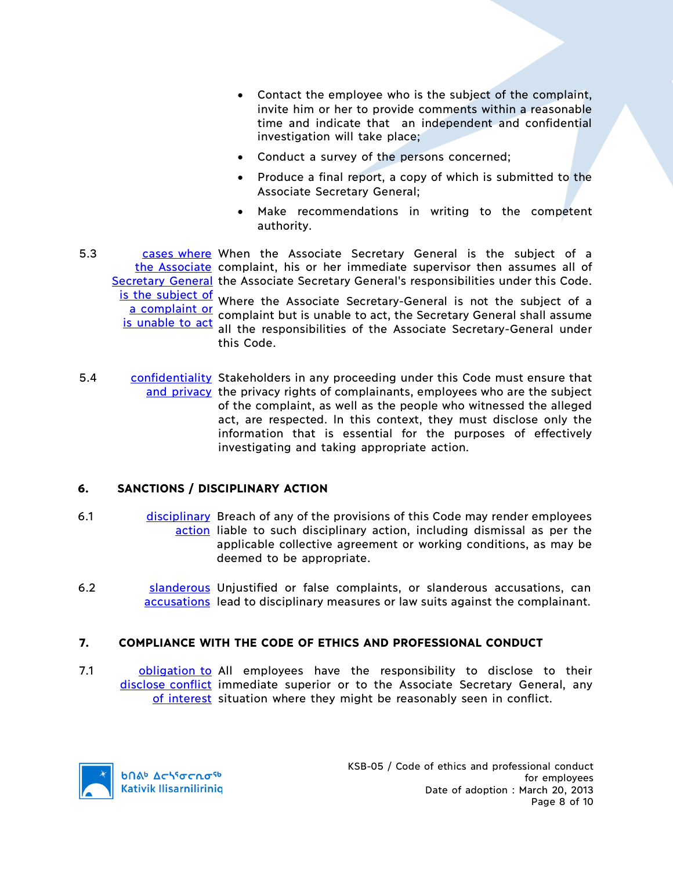- Contact the employee who is the subject of the complaint, invite him or her to provide comments within a reasonable time and indicate that an independent and confidential investigation will take place;
- Conduct a survey of the persons concerned;
- Produce a final report, a copy of which is submitted to the Associate Secretary General;
- Make recommendations in writing to the competent authority.
- 5.3 cases where When the Associate Secretary General is the subject of a the Associate complaint, his or her immediate supervisor then assumes all of Secretary General the Associate Secretary General's responsibilities under this Code. is the subject of I also the subject of Where the Associate Secretary-General is not the subject of a<br>a complaint or complaint but is unable to set the Coerctary Consul aboll coverage is unable to act complaint but is unable to act, the Secretary General shall assume all the responsibilities of the Associate Secretary-General under this Code.
- 5.4 confidentiality Stakeholders in any proceeding under this Code must ensure that and privacy the privacy rights of complainants, employees who are the subject of the complaint, as well as the people who witnessed the alleged act, are respected. ln this context, they must disclose only the information that is essential for the purposes of effectively investigating and taking appropriate action.

# **6. SANCTIONS / DISCIPLINARY ACTION**

- 6.1 disciplinary Breach of any of the provisions of this Code may render employees action liable to such disciplinary action, including dismissal as per the applicable collective agreement or working conditions, as may be deemed to be appropriate.
- 6.2 Slanderous Unjustified or false complaints, or slanderous accusations, can accusations lead to disciplinary measures or law suits against the complainant.

# **7. COMPLIANCE WITH THE CODE OF ETHICS AND PROFESSIONAL CONDUCT**

7.1 **bullehed obligation to All employees** have the responsibility to disclose to their disclose conflict immediate superior or to the Associate Secretary General, any of interest situation where they might be reasonably seen in conflict.

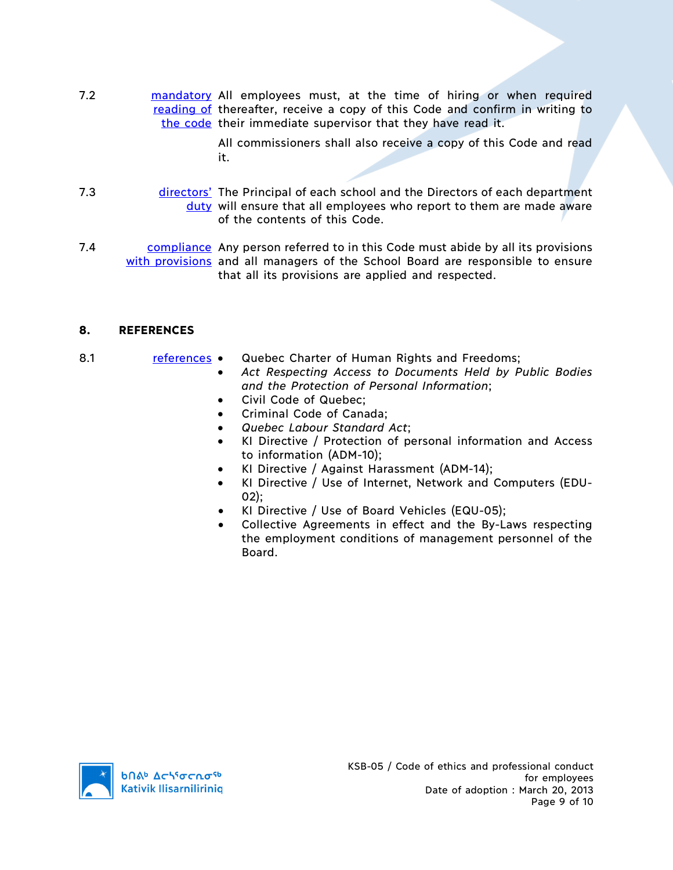7.2 **mandatory All employees must, at the time of hiring or when required** reading of thereafter, receive a copy of this Code and confirm in writing to the code their immediate supervisor that they have read it.

> All commissioners shall also receive a copy of this Code and read it.

- 7.3 directors' The Principal of each school and the Directors of each department duty will ensure that all employees who report to them are made aware of the contents of this Code.
- 7.4 compliance Any person referred to in this Code must abide by all its provisions with provisions and all managers of the School Board are responsible to ensure that all its provisions are applied and respected.

#### **8. REFERENCES**

- 8.1 references Quebec Charter of Human Rights and Freedoms;
	- *Act Respecting Access to Documents Held by Public Bodies and the Protection of Personal Information*;
	- Civil Code of Quebec;
	- Criminal Code of Canada;
	- *Quebec Labour Standard Act*;
	- KI Directive / Protection of personal information and Access to information (ADM-10);
	- KI Directive / Against Harassment (ADM-14);
	- KI Directive / Use of Internet, Network and Computers (EDU-02);
	- KI Directive / Use of Board Vehicles (EQU-05);
	- Collective Agreements in effect and the By-Laws respecting the employment conditions of management personnel of the Board.